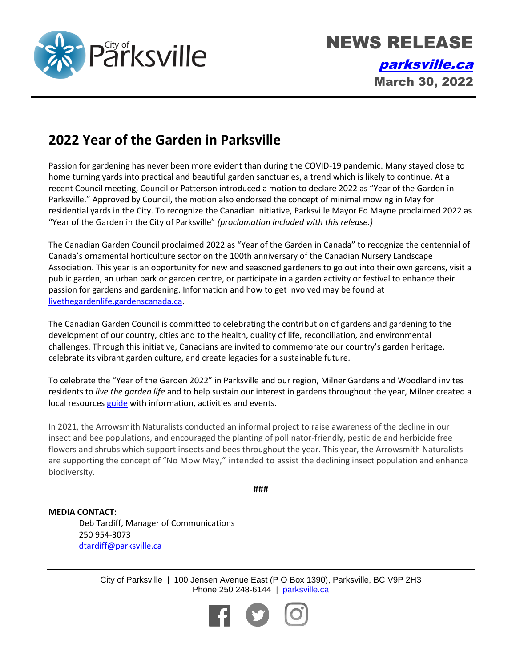

## **2022 Year of the Garden in Parksville**

Passion for gardening has never been more evident than during the COVID-19 pandemic. Many stayed close to home turning yards into practical and beautiful garden sanctuaries, a trend which is likely to continue. At a recent Council meeting, Councillor Patterson introduced a motion to declare 2022 as "Year of the Garden in Parksville." Approved by Council, the motion also endorsed the concept of minimal mowing in May for residential yards in the City. To recognize the Canadian initiative, Parksville Mayor Ed Mayne proclaimed 2022 as "Year of the Garden in the City of Parksville" *(proclamation included with this release.)*

The Canadian Garden Council proclaimed 2022 as "Year of the Garden in Canada" to recognize the centennial of Canada's ornamental horticulture sector on the 100th anniversary of the Canadian Nursery Landscape Association. This year is an opportunity for new and seasoned gardeners to go out into their own gardens, visit a public garden, an urban park or garden centre, or participate in a garden activity or festival to enhance their passion for gardens and gardening. Information and how to get involved may be found at [livethegardenlife.gardenscanada.ca.](https://livethegardenlife.gardenscanada.ca/)

The Canadian Garden Council is committed to celebrating the contribution of gardens and gardening to the development of our country, cities and to the health, quality of life, reconciliation, and environmental challenges. Through this initiative, Canadians are invited to commemorate our country's garden heritage, celebrate its vibrant garden culture, and create legacies for a sustainable future.

To celebrate the "Year of the Garden 2022" in Parksville and our region, Milner Gardens and Woodland invites residents to *live the garden life* and to help sustain our interest in gardens throughout the year, Milner created a local resources [guide](https://milnergardens.viu.ca/Live-the-Garden-Life) with information, activities and events.

In 2021, the Arrowsmith Naturalists conducted an informal project to raise awareness of the decline in our insect and bee populations, and encouraged the planting of pollinator-friendly, pesticide and herbicide free flowers and shrubs which support insects and bees throughout the year. This year, the Arrowsmith Naturalists are supporting the concept of "No Mow May," intended to assist the declining insect population and enhance biodiversity.

**###**

**MEDIA CONTACT:** Deb Tardiff, Manager of Communications 250 954-3073 [dtardiff@parksville.ca](mailto:dtardiff@parksville.ca)

> City of Parksville | 100 Jensen Avenue East (P O Box 1390), Parksville, BC V9P 2H3 Phone 250 248-6144 | [parksville.ca](http://www.parksville.ca/)